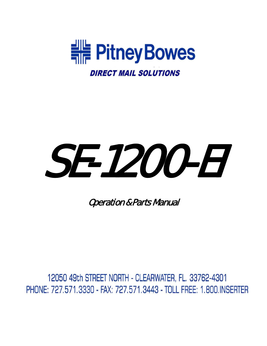

# SE-1200-EI

Operation & Parts Manual

12050 49th STREET NORTH - CLEARWATER, FL. 33762-4301 PHONE: 727.571.3330 - FAX: 727.571.3443 - TOLL FREE: 1.800.INSERTER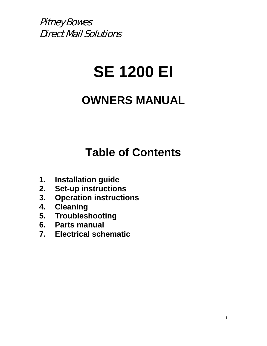# **SE 1200 EI**

# **OWNERS MANUAL**

# **Table of Contents**

- **1. Installation guide**
- **2. Set-up instructions**
- **3. Operation instructions**
- **4. Cleaning**
- **5. Troubleshooting**
- **6. Parts manual**
- **7. Electrical schematic**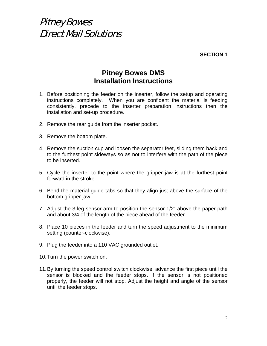**SECTION 1** 

#### **Pitney Bowes DMS Installation Instructions**

- 1. Before positioning the feeder on the inserter, follow the setup and operating instructions completely. When you are confident the material is feeding consistently, precede to the inserter preparation instructions then the installation and set-up procedure.
- 2. Remove the rear guide from the inserter pocket.
- 3. Remove the bottom plate.
- 4. Remove the suction cup and loosen the separator feet, sliding them back and to the furthest point sideways so as not to interfere with the path of the piece to be inserted.
- 5. Cycle the inserter to the point where the gripper jaw is at the furthest point forward in the stroke.
- 6. Bend the material guide tabs so that they align just above the surface of the bottom gripper jaw.
- 7. Adjust the 3-leg sensor arm to position the sensor 1/2" above the paper path and about 3/4 of the length of the piece ahead of the feeder.
- 8. Place 10 pieces in the feeder and turn the speed adjustment to the minimum setting (counter-clockwise).
- 9. Plug the feeder into a 110 VAC grounded outlet.
- 10. Turn the power switch on.
- 11. By turning the speed control switch clockwise, advance the first piece until the sensor is blocked and the feeder stops. If the sensor is not positioned properly, the feeder will not stop. Adjust the height and angle of the sensor until the feeder stops.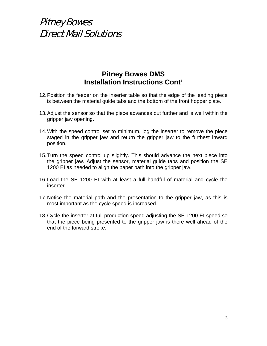#### **Pitney Bowes DMS Installation Instructions Cont'**

- 12. Position the feeder on the inserter table so that the edge of the leading piece is between the material guide tabs and the bottom of the front hopper plate.
- 13. Adjust the sensor so that the piece advances out further and is well within the gripper jaw opening.
- 14. With the speed control set to minimum, jog the inserter to remove the piece staged in the gripper jaw and return the gripper jaw to the furthest inward position.
- 15. Turn the speed control up slightly. This should advance the next piece into the gripper jaw. Adjust the sensor, material guide tabs and position the SE 1200 EI as needed to align the paper path into the gripper jaw.
- 16. Load the SE 1200 EI with at least a full handful of material and cycle the inserter.
- 17. Notice the material path and the presentation to the gripper jaw, as this is most important as the cycle speed is increased.
- 18. Cycle the inserter at full production speed adjusting the SE 1200 EI speed so that the piece being presented to the gripper jaw is there well ahead of the end of the forward stroke.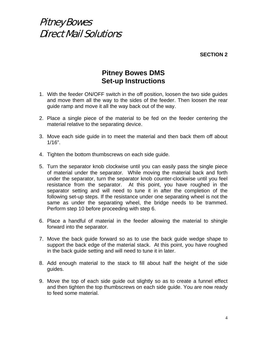**SECTION 2** 

#### **Pitney Bowes DMS Set-up Instructions**

- 1. With the feeder ON/OFF switch in the off position, loosen the two side guides and move them all the way to the sides of the feeder. Then loosen the rear guide ramp and move it all the way back out of the way.
- 2. Place a single piece of the material to be fed on the feeder centering the material relative to the separating device.
- 3. Move each side guide in to meet the material and then back them off about 1/16".
- 4. Tighten the bottom thumbscrews on each side guide.
- 5. Turn the separator knob clockwise until you can easily pass the single piece of material under the separator. While moving the material back and forth under the separator, turn the separator knob counter-clockwise until you feel resistance from the separator. At this point, you have roughed in the separator setting and will need to tune it in after the completion of the following set-up steps. If the resistance under one separating wheel is not the same as under the separating wheel, the bridge needs to be trammed. Perform step 10 before proceeding with step 6.
- 6. Place a handful of material in the feeder allowing the material to shingle forward into the separator.
- 7. Move the back guide forward so as to use the back guide wedge shape to support the back edge of the material stack. At this point, you have roughed in the back guide setting and will need to tune it in later.
- 8. Add enough material to the stack to fill about half the height of the side guides.
- 9. Move the top of each side guide out slightly so as to create a funnel effect and then tighten the top thumbscrews on each side guide. You are now ready to feed some material.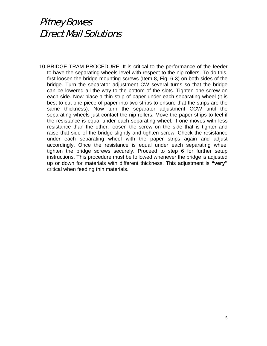10. BRIDGE TRAM PROCEDURE: It is critical to the performance of the feeder to have the separating wheels level with respect to the nip rollers. To do this, first loosen the bridge mounting screws (Item 8, Fig. 6-3) on both sides of the bridge. Turn the separator adjustment CW several turns so that the bridge can be lowered all the way to the bottom of the slots. Tighten one screw on each side. Now place a thin strip of paper under each separating wheel (it is best to cut one piece of paper into two strips to ensure that the strips are the same thickness). Now turn the separator adjustment CCW until the separating wheels just contact the nip rollers. Move the paper strips to feel if the resistance is equal under each separating wheel. If one moves with less resistance than the other, loosen the screw on the side that is tighter and raise that side of the bridge slightly and tighten screw. Check the resistance under each separating wheel with the paper strips again and adjust accordingly. Once the resistance is equal under each separating wheel tighten the bridge screws securely. Proceed to step 6 for further setup instructions. This procedure must be followed whenever the bridge is adjusted up or down for materials with different thickness. This adjustment is **"very"** critical when feeding thin materials.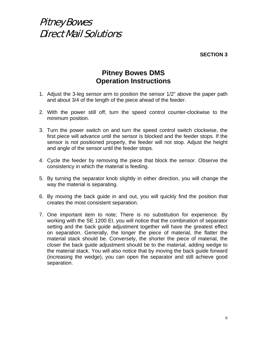**SECTION 3** 

#### **Pitney Bowes DMS Operation Instructions**

- 1. Adjust the 3-leg sensor arm to position the sensor 1/2" above the paper path and about 3/4 of the length of the piece ahead of the feeder.
- 2. With the power still off, turn the speed control counter-clockwise to the minimum position.
- 3. Turn the power switch on and turn the speed control switch clockwise, the first piece will advance until the sensor is blocked and the feeder stops. If the sensor is not positioned properly, the feeder will not stop. Adjust the height and angle of the sensor until the feeder stops.
- 4. Cycle the feeder by removing the piece that block the sensor. Observe the consistency in which the material is feeding.
- 5. By turning the separator knob slightly in either direction, you will change the way the material is separating.
- 6. By moving the back guide in and out, you will quickly find the position that creates the most consistent separation.
- 7. One important item to note; There is no substitution for experience. By working with the SE 1200 EI, you will notice that the combination of separator setting and the back guide adjustment together will have the greatest effect on separation. Generally, the longer the piece of material, the flatter the material stack should be. Conversely, the shorter the piece of material, the closer the back guide adjustment should be to the material, adding wedge to the material stack. You will also notice that by moving the back guide forward (increasing the wedge), you can open the separator and still achieve good separation.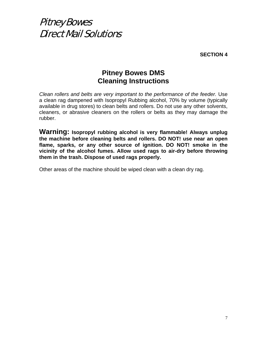**SECTION 4** 

#### **Pitney Bowes DMS Cleaning Instructions**

*Clean rollers and belts are very important to the performance of the feeder.* Use a clean rag dampened with Isopropyl Rubbing alcohol, 70% by volume (typically available in drug stores) to clean belts and rollers. Do not use any other solvents, cleaners, or abrasive cleaners on the rollers or belts as they may damage the rubber.

**Warning: Isopropyl rubbing alcohol is very flammable! Always unplug the machine before cleaning belts and rollers. DO NOT! use near an open flame, sparks, or any other source of ignition. DO NOT! smoke in the vicinity of the alcohol fumes. Allow used rags to air-dry before throwing them in the trash. Dispose of used rags properly.** 

Other areas of the machine should be wiped clean with a clean dry rag.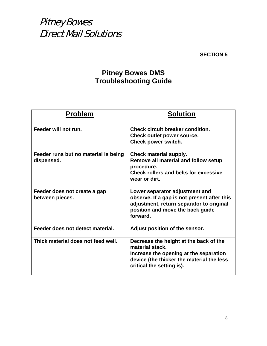**SECTION 5** 

#### **Pitney Bowes DMS Troubleshooting Guide**

| <b>Problem</b>                                     | <b>Solution</b>                                                                                                                                                               |
|----------------------------------------------------|-------------------------------------------------------------------------------------------------------------------------------------------------------------------------------|
| Feeder will not run.                               | Check circuit breaker condition.<br>Check outlet power source.<br>Check power switch.                                                                                         |
| Feeder runs but no material is being<br>dispensed. | Check material supply.<br>Remove all material and follow setup<br>procedure.<br><b>Check rollers and belts for excessive</b><br>wear or dirt.                                 |
| Feeder does not create a gap<br>between pieces.    | Lower separator adjustment and<br>observe. If a gap is not present after this<br>adjustment, return separator to original<br>position and move the back guide<br>forward.     |
| Feeder does not detect material.                   | Adjust position of the sensor.                                                                                                                                                |
| Thick material does not feed well.                 | Decrease the height at the back of the<br>material stack.<br>Increase the opening at the separation<br>device (the thicker the material the less<br>critical the setting is). |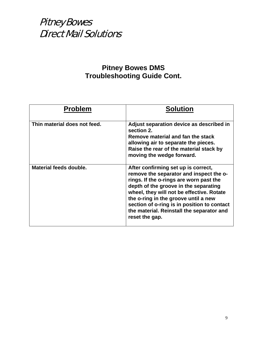#### **Pitney Bowes DMS Troubleshooting Guide Cont.**

| <b>Problem</b>               | <b>Solution</b>                                                                                                                                                                                                                                                                                                                                                       |
|------------------------------|-----------------------------------------------------------------------------------------------------------------------------------------------------------------------------------------------------------------------------------------------------------------------------------------------------------------------------------------------------------------------|
| Thin material does not feed. | Adjust separation device as described in<br>section 2.<br>Remove material and fan the stack<br>allowing air to separate the pieces.<br>Raise the rear of the material stack by<br>moving the wedge forward.                                                                                                                                                           |
| Material feeds double.       | After confirming set up is correct,<br>remove the separator and inspect the o-<br>rings. If the o-rings are worn past the<br>depth of the groove in the separating<br>wheel, they will not be effective. Rotate<br>the o-ring in the groove until a new<br>section of o-ring is in position to contact<br>the material. Reinstall the separator and<br>reset the gap. |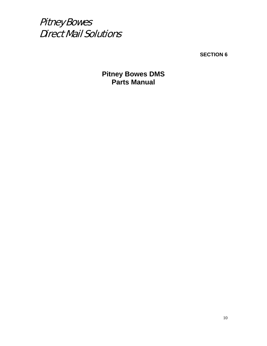

**SECTION 6** 

**Pitney Bowes DMS Parts Manual**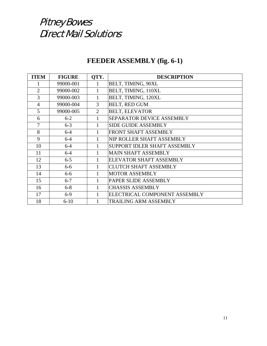#### **FEEDER ASSEMBLY (fig. 6-1)**

| <b>ITEM</b>    | <b>FIGURE</b> | QTY.           | <b>DESCRIPTION</b>               |
|----------------|---------------|----------------|----------------------------------|
|                | 99000-001     | 1              | BELT, TIMING, 90XL               |
| $\overline{2}$ | 99000-002     | $\mathbf{1}$   | BELT, TIMING, 110XL              |
| 3              | 99000-003     | $\mathbf{1}$   | BELT, TIMING, 120XL              |
| $\overline{4}$ | 99000-004     | 3              | <b>BELT, RED GUM</b>             |
| 5              | 99000-005     | $\overline{2}$ | <b>BELT, ELEVATOR</b>            |
| 6              | $6 - 2$       | $\mathbf{1}$   | <b>SEPARATOR DEVICE ASSEMBLY</b> |
| $\overline{7}$ | $6 - 3$       | 1              | <b>SIDE GUIDE ASSEMBLY</b>       |
| 8              | $6 - 4$       | $\mathbf{1}$   | FRONT SHAFT ASSEMBLY             |
| 9              | $6 - 4$       | $\mathbf{1}$   | NIP ROLLER SHAFT ASSEMBLY        |
| 10             | $6 - 4$       | $\mathbf{1}$   | SUPPORT IDLER SHAFT ASSEMBLY     |
| 11             | $6 - 4$       | 1              | <b>MAIN SHAFT ASSEMBLY</b>       |
| 12             | $6 - 5$       |                | <b>ELEVATOR SHAFT ASSEMBLY</b>   |
| 13             | $6 - 6$       | $\mathbf{1}$   | <b>CLUTCH SHAFT ASSEMBLY</b>     |
| 14             | $6 - 6$       | $\mathbf{1}$   | <b>MOTOR ASSEMBLY</b>            |
| 15             | $6 - 7$       | 1              | PAPER SLIDE ASSEMBLY             |
| 16             | $6 - 8$       | 1              | <b>CHASSIS ASSEMBLY</b>          |
| 17             | $6-9$         | 1              | ELECTRICAL COMPONENT ASSEMBLY    |
| 18             | $6 - 10$      |                | <b>TRAILING ARM ASSEMBLY</b>     |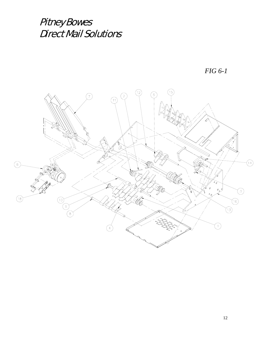*FIG 6-1* 

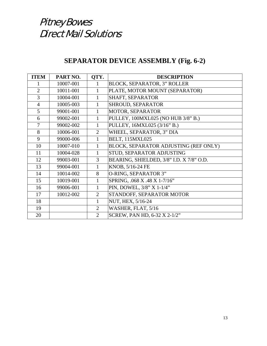#### **SEPARATOR DEVICE ASSEMBLY (Fig. 6-2)**

| <b>ITEM</b>    | PART NO.  | QTY.           | <b>DESCRIPTION</b>                       |
|----------------|-----------|----------------|------------------------------------------|
|                | 10007-001 | 1              | <b>BLOCK, SEPARATOR, 3" ROLLER</b>       |
| $\overline{2}$ | 10011-001 | $\mathbf{1}$   | PLATE, MOTOR MOUNT (SEPARATOR)           |
| 3              | 10004-001 | $\mathbf{1}$   | SHAFT, SEPARATOR                         |
| $\overline{4}$ | 10005-003 | $\mathbf{1}$   | SHROUD, SEPARATOR                        |
| 5              | 99001-001 | $\mathbf{1}$   | MOTOR, SEPARATOR                         |
| 6              | 99002-001 | 1              | PULLEY, 100MXL025 (NO HUB 3/8" B.)       |
| $\overline{7}$ | 99002-002 | $\mathbf{1}$   | PULLEY, 16MXL025 (3/16" B.)              |
| 8              | 10006-001 | 2              | WHEEL, SEPARATOR, 3" DIA                 |
| 9              | 99000-006 | $\mathbf{1}$   | <b>BELT, 115MXL025</b>                   |
| 10             | 10007-010 | 1              | BLOCK, SEPARATOR ADJUSTING (REF ONLY)    |
| 11             | 10004-028 | $\mathbf{1}$   | STUD, SEPARATOR ADJUSTING                |
| 12             | 99003-001 | 3              | BEARING, SHIELDED, 3/8" I.D. X 7/8" O.D. |
| 13             | 99004-001 | $\mathbf{1}$   | KNOB, 5/16-24 FE                         |
| 14             | 10014-002 | 8              | O-RING, SEPARATOR 3"                     |
| 15             | 10019-001 | $\mathbf{1}$   | SPRING, .068 X .48 X 1-7/16"             |
| 16             | 99006-001 | $\mathbf{1}$   | PIN, DOWEL, 3/8" X 1-1/4"                |
| 17             | 10012-002 | $\overline{2}$ | STANDOFF, SEPARATOR MOTOR                |
| 18             |           | 1              | NUT, HEX, 5/16-24                        |
| 19             |           | 2              | WASHER, FLAT, 5/16                       |
| 20             |           | $\overline{2}$ | SCREW, PAN HD, 6-32 X 2-1/2"             |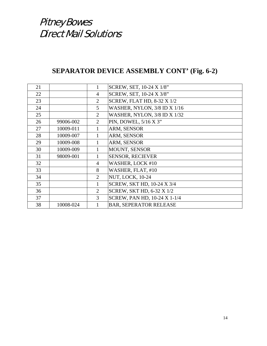#### **SEPARATOR DEVICE ASSEMBLY CONT' (Fig. 6-2)**

| 21 |           | 1              | SCREW, SET, 10-24 X 1/8"            |
|----|-----------|----------------|-------------------------------------|
| 22 |           | $\overline{4}$ | SCREW, SET, 10-24 X 3/8"            |
| 23 |           | $\overline{2}$ | <b>SCREW, FLAT HD, 8-32 X 1/2</b>   |
| 24 |           | 5              | <b>WASHER, NYLON, 3/8 ID X 1/16</b> |
| 25 |           | 2              | WASHER, NYLON, 3/8 ID X 1/32        |
| 26 | 99006-002 | $\overline{2}$ | PIN, DOWEL, 5/16 X 3"               |
| 27 | 10009-011 |                | ARM, SENSOR                         |
| 28 | 10009-007 |                | ARM, SENSOR                         |
| 29 | 10009-008 |                | ARM, SENSOR                         |
| 30 | 10009-009 |                | <b>MOUNT, SENSOR</b>                |
| 31 | 98009-001 |                | <b>SENSOR, RECIEVER</b>             |
| 32 |           | $\overline{4}$ | WASHER, LOCK #10                    |
| 33 |           | 8              | WASHER, FLAT, #10                   |
| 34 |           | $\overline{2}$ | <b>NUT, LOCK, 10-24</b>             |
| 35 |           | $\mathbf{1}$   | SCREW, SKT HD, 10-24 X 3/4          |
| 36 |           | $\overline{2}$ | SCREW, SKT HD, 6-32 X 1/2           |
| 37 |           | 3              | SCREW, PAN HD, 10-24 X 1-1/4        |
| 38 | 10008-024 |                | <b>BAR, SEPERATOR RELEASE</b>       |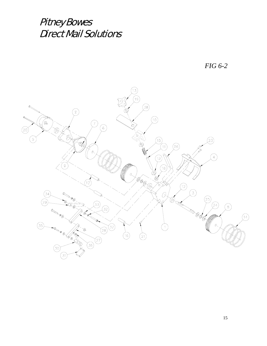

*FIG 6-2*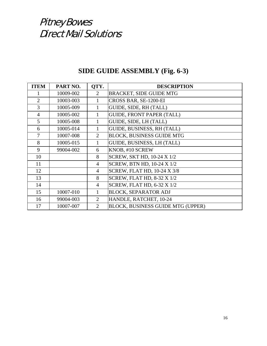| SIDE GUIDE ASSEMBLY (Fig. 6-3) |  |
|--------------------------------|--|
|--------------------------------|--|

| <b>ITEM</b>    | PART NO.  | QTY.           | <b>DESCRIPTION</b>                       |
|----------------|-----------|----------------|------------------------------------------|
|                | 10009-002 | 2              | <b>BRACKET, SIDE GUIDE MTG</b>           |
| $\overline{2}$ | 10003-003 | 1              | CROSS BAR, SE-1200-EI                    |
| 3              | 10005-009 | 1              | GUIDE, SIDE, RH (TALL)                   |
| $\overline{4}$ | 10005-002 | 1              | <b>GUIDE, FRONT PAPER (TALL)</b>         |
| 5              | 10005-008 | 1              | GUIDE, SIDE, LH (TALL)                   |
| 6              | 10005-014 | 1              | GUIDE, BUSINESS, RH (TALL)               |
| 7              | 10007-008 | $\overline{2}$ | <b>BLOCK, BUSINESS GUIDE MTG</b>         |
| 8              | 10005-015 | 1              | GUIDE, BUSINESS, LH (TALL)               |
| 9              | 99004-002 | 6              | KNOB, #10 SCREW                          |
| 10             |           | 8              | SCREW, SKT HD, 10-24 X 1/2               |
| 11             |           | $\overline{4}$ | <b>SCREW, BTN HD, 10-24 X 1/2</b>        |
| 12             |           | $\overline{4}$ | <b>SCREW, FLAT HD, 10-24 X 3/8</b>       |
| 13             |           | 8              | <b>SCREW, FLAT HD, 8-32 X 1/2</b>        |
| 14             |           | 4              | <b>SCREW, FLAT HD, 6-32 X 1/2</b>        |
| 15             | 10007-010 | 1              | <b>BLOCK, SEPARATOR ADJ</b>              |
| 16             | 99004-003 | $\overline{2}$ | HANDLE, RATCHET, 10-24                   |
| 17             | 10007-007 | $\overline{2}$ | <b>BLOCK, BUSINESS GUIDE MTG (UPPER)</b> |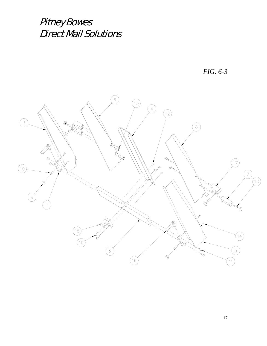*FIG. 6-3* 

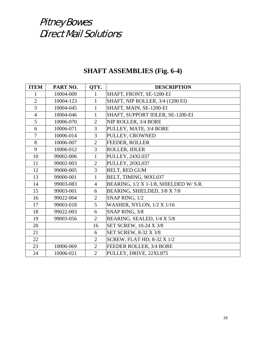#### **SHAFT ASSEMBLIES (Fig. 6-4)**

| <b>ITEM</b>    | PART NO.  | QTY.           | <b>DESCRIPTION</b>                     |
|----------------|-----------|----------------|----------------------------------------|
| 1              | 10004-009 | 1              | SHAFT, FRONT, SE-1200-EI               |
| $\overline{2}$ | 10004-123 | $\mathbf{1}$   | SHAFT, NIP ROLLER, 3/4 (1200 EI)       |
| 3              | 10004-045 | $\mathbf{1}$   | SHAFT, MAIN, SE-1200-EI                |
| $\overline{4}$ | 10004-046 | $\mathbf{1}$   | SHAFT, SUPPORT IDLER, SE-1200-EI       |
| 5              | 10006-070 | $\overline{2}$ | NIP ROLLER, 3/4 BORE                   |
| 6              | 10006-071 | 3              | PULLEY, MATE, 3/4 BORE                 |
| $\overline{7}$ | 10006-014 | 3              | PULLEY, CROWNED                        |
| 8              | 10006-007 | $\overline{2}$ | <b>FEEDER, ROLLER</b>                  |
| 9              | 10006-012 | $\overline{3}$ | ROLLER, IDLER                          |
| 10             | 99002-006 | $\mathbf{1}$   | PULLEY, 24XL037                        |
| 11             | 99002-003 | 2              | PULLEY, 20XL037                        |
| 12             | 99000-005 | $\overline{3}$ | <b>BELT, RED GUM</b>                   |
| 13             | 99000-001 | $\mathbf{1}$   | BELT, TIMING, 90XL037                  |
| 14             | 99003-083 | $\overline{4}$ | BEARING, 1/2 X 1-1/8, SHIELDED W/ S.R. |
| 15             | 99003-001 | 6              | BEARING, SHIELDED, 3/8 X 7/8           |
| 16             | 99022-004 | $\overline{2}$ | SNAP RING, 1/2                         |
| 17             | 99003-018 | 5              | <b>WASHER, NYLON, 1/2 X 1/16</b>       |
| 18             | 99022-003 | 6              | SNAP RING, 3/8                         |
| 19             | 99003-056 | $\overline{2}$ | BEARING, SEALED, 1/4 X 5/8             |
| 20             |           | 16             | SET SCREW, 10-24 X 3/8                 |
| 21             |           | 6              | SET SCREW, 8-32 X 3/8                  |
| 22             |           | $\overline{2}$ | <b>SCREW, FLAT HD, 8-32 X 1/2</b>      |
| 23             | 10006-069 | $\overline{2}$ | FEEDER ROLLER, 3/4 BORE                |
| 24             | 10006-021 | $\overline{2}$ | PULLEY, DRIVE, 22XL875                 |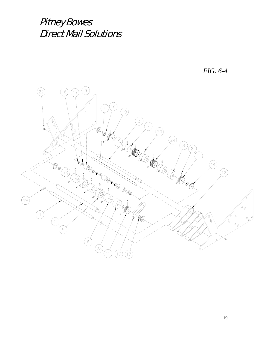

19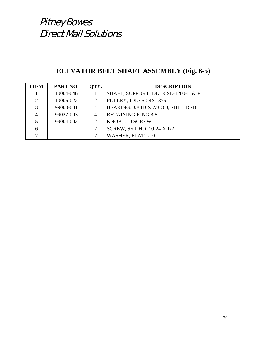#### **ELEVATOR BELT SHAFT ASSEMBLY (Fig. 6-5)**

| <b>ITEM</b>  | PART NO.  | OTY.                        | <b>DESCRIPTION</b>                  |
|--------------|-----------|-----------------------------|-------------------------------------|
|              | 10004-046 |                             | SHAFT, SUPPORT IDLER SE-1200-IJ & P |
|              | 10006-022 | 2                           | PULLEY, IDLER 24XL875               |
| $\mathbf{z}$ | 99003-001 | $\overline{4}$              | BEARING, 3/8 ID X 7/8 OD, SHIELDED  |
|              | 99022-003 | 4                           | <b>RETAINING RING 3/8</b>           |
|              | 99004-002 | $\overline{2}$              | KNOB, #10 SCREW                     |
| 6            |           | 2                           | SCREW, SKT HD, 10-24 X 1/2          |
|              |           | $\mathcal{D}_{\mathcal{L}}$ | WASHER, FLAT, #10                   |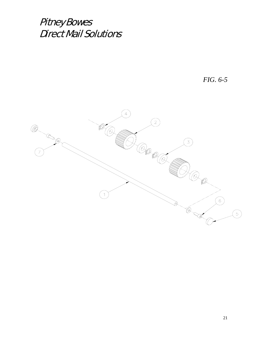*FIG. 6-5* 

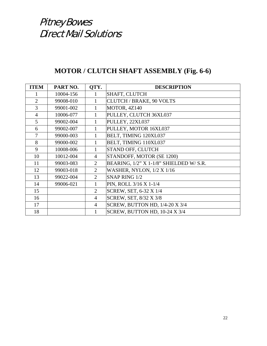#### **MOTOR / CLUTCH SHAFT ASSEMBLY (Fig. 6-6)**

| <b>ITEM</b>    | PART NO.  | QTY.           | <b>DESCRIPTION</b>                      |
|----------------|-----------|----------------|-----------------------------------------|
|                | 10004-156 | 1              | <b>SHAFT, CLUTCH</b>                    |
| $\overline{2}$ | 99008-010 | 1              | <b>CLUTCH / BRAKE, 90 VOLTS</b>         |
| 3              | 99001-002 | 1              | MOTOR, 4Z140                            |
| $\overline{4}$ | 10006-077 | $\mathbf{1}$   | PULLEY, CLUTCH 36XL037                  |
| 5              | 99002-004 | 1              | PULLEY, 22XL037                         |
| 6              | 99002-007 | $\mathbf{1}$   | PULLEY, MOTOR 16XL037                   |
| $\overline{7}$ | 99000-003 | 1              | BELT, TIMING 120XL037                   |
| 8              | 99000-002 | 1              | BELT, TIMING 110XL037                   |
| 9              | 10008-006 | 1              | STAND OFF, CLUTCH                       |
| 10             | 10012-004 | $\overline{4}$ | STANDOFF, MOTOR (SE 1200)               |
| 11             | 99003-083 | $\overline{2}$ | BEARING, 1/2" X 1-1/8" SHIELDED W/ S.R. |
| 12             | 99003-018 | 2              | <b>WASHER, NYLON, 1/2 X 1/16</b>        |
| 13             | 99022-004 | 2              | SNAP RING 1/2                           |
| 14             | 99006-021 | $\mathbf{1}$   | PIN, ROLL 3/16 X 1-1/4                  |
| 15             |           | $\overline{2}$ | SCREW, SET, 6-32 X 1/4                  |
| 16             |           | $\overline{4}$ | SCREW, SET, 8/32 X 3/8                  |
| 17             |           | $\overline{4}$ | SCREW, BUTTON HD, 1/4-20 X 3/4          |
| 18             |           | 1              | SCREW, BUTTON HD, 10-24 X 3/4           |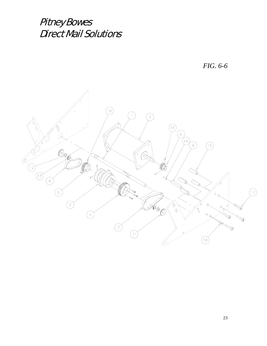*FIG. 6-6* 

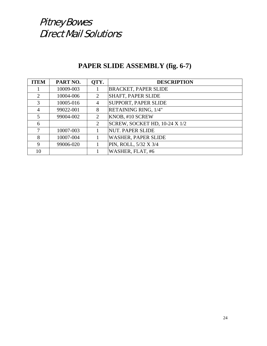#### **PAPER SLIDE ASSEMBLY (fig. 6-7)**

| <b>ITEM</b>             | PART NO.  | QTY.           | <b>DESCRIPTION</b>            |
|-------------------------|-----------|----------------|-------------------------------|
|                         | 10009-003 |                | <b>BRACKET, PAPER SLIDE</b>   |
| 2                       | 10004-006 | 2              | <b>SHAFT, PAPER SLIDE</b>     |
| $\mathcal{R}$           | 10005-016 | $\overline{4}$ | <b>SUPPORT, PAPER SLIDE</b>   |
| $\overline{4}$          | 99022-001 | 8              | RETAINING RING, 1/4"          |
| $\overline{\mathbf{5}}$ | 99004-002 | 2              | KNOB, #10 SCREW               |
| 6                       |           | $\overline{2}$ | SCREW, SOCKET HD, 10-24 X 1/2 |
|                         | 10007-003 |                | NUT. PAPER SLIDE              |
| 8                       | 10007-004 |                | <b>WASHER, PAPER SLIDE</b>    |
| 9                       | 99006-020 |                | PIN, ROLL, 5/32 X 3/4         |
| 10                      |           |                | WASHER, FLAT, #6              |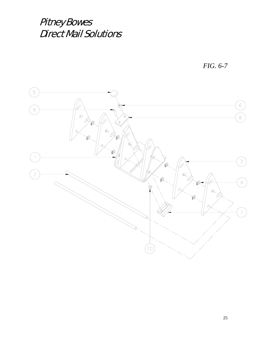*FIG. 6-7* 

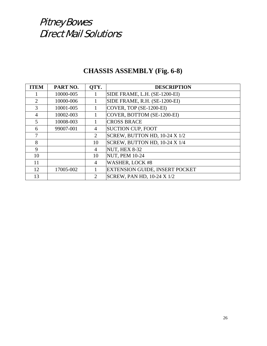#### **CHASSIS ASSEMBLY (Fig. 6-8)**

| <b>ITEM</b> | PART NO.  | OTY.           | <b>DESCRIPTION</b>                |
|-------------|-----------|----------------|-----------------------------------|
|             | 10000-005 |                | SIDE FRAME, L.H. (SE-1200-EI)     |
| 2           | 10000-006 |                | SIDE FRAME, R.H. (SE-1200-EI)     |
| 3           | 10001-005 | 1              | $\vert$ COVER, TOP (SE-1200-EI)   |
| 4           | 10002-003 |                | COVER, BOTTOM (SE-1200-EI)        |
| 5           | 10008-003 |                | <b>CROSS BRACE</b>                |
| 6           | 99007-001 | 4              | <b>SUCTION CUP, FOOT</b>          |
| 7           |           | 2              | SCREW, BUTTON HD, 10-24 X 1/2     |
| 8           |           | 10             | SCREW, BUTTON HD, 10-24 X 1/4     |
| 9           |           | 4              | <b>NUT, HEX 8-32</b>              |
| 10          |           | 10             | <b>NUT, PEM 10-24</b>             |
| 11          |           | 4              | <b>WASHER, LOCK #8</b>            |
| 12          | 17005-002 |                | EXTENSION GUIDE, INSERT POCKET    |
| 13          |           | $\overline{2}$ | <b>SCREW, PAN HD, 10-24 X 1/2</b> |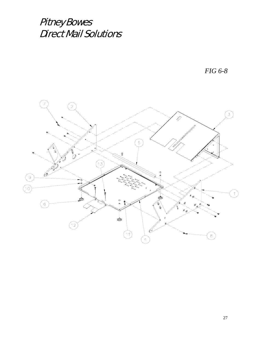*FIG 6-8* 

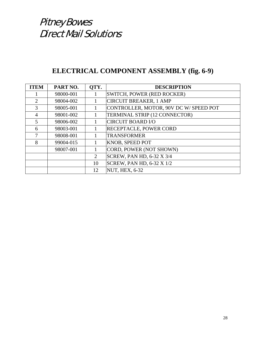#### **ELECTRICAL COMPONENT ASSEMBLY (fig. 6-9)**

| <b>ITEM</b>                 | PART NO.  | OTY.           | <b>DESCRIPTION</b>                    |
|-----------------------------|-----------|----------------|---------------------------------------|
|                             | 98000-001 |                | SWITCH, POWER (RED ROCKER)            |
| $\mathcal{D}_{\mathcal{L}}$ | 98004-002 |                | <b>CIRCUIT BREAKER, 1 AMP</b>         |
| 3                           | 98005-001 |                | CONTROLLER, MOTOR, 90V DC W/SPEED POT |
| 4                           | 98001-002 |                | TERMINAL STRIP (12 CONNECTOR)         |
| 5                           | 98006-002 |                | <b>CIRCUIT BOARD I/O</b>              |
| 6                           | 98003-001 |                | <b>RECEPTACLE, POWER CORD</b>         |
| 7                           | 98008-001 |                | <b>TRANSFORMER</b>                    |
| 8                           | 99004-015 |                | KNOB, SPEED POT                       |
|                             | 98007-001 |                | CORD, POWER (NOT SHOWN)               |
|                             |           | $\overline{2}$ | SCREW, PAN HD, 6-32 X 3/4             |
|                             |           | 10             | <b>SCREW, PAN HD, 6-32 X 1/2</b>      |
|                             |           | 12             | <b>NUT, HEX, 6-32</b>                 |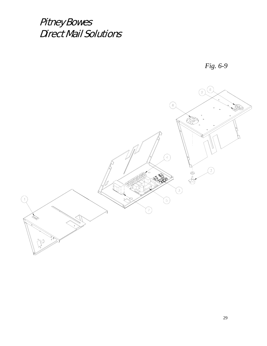Pitney Bowes Direct Mail Solutions



*Fig. 6-9*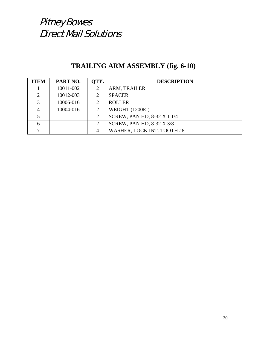#### **TRAILING ARM ASSEMBLY (fig. 6-10)**

| <b>ITEM</b> | PART NO.  | OTY.           | <b>DESCRIPTION</b>               |
|-------------|-----------|----------------|----------------------------------|
|             | 10011-002 | 2              | ARM, TRAILER                     |
|             | 10012-003 |                | <b>SPACER</b>                    |
| հ           | 10006-016 | 2              | <b>ROLLER</b>                    |
|             | 10004-016 | 2              | WEIGHT (1200EI)                  |
|             |           |                | SCREW, PAN HD, 8-32 X 1 1/4      |
| 6           |           | $\overline{2}$ | <b>SCREW, PAN HD, 8-32 X 3/8</b> |
|             |           | 4              | WASHER, LOCK INT. TOOTH #8       |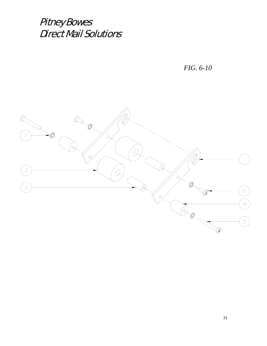*FIG. 6-10* 

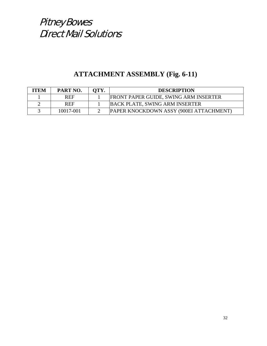#### **ATTACHMENT ASSEMBLY (Fig. 6-11)**

| <b>ITEM</b> | PART NO.   | OTY. | <b>DESCRIPTION</b>                           |
|-------------|------------|------|----------------------------------------------|
|             | <b>REF</b> |      | <b>FRONT PAPER GUIDE, SWING ARM INSERTER</b> |
|             | <b>REF</b> |      | <b>BACK PLATE, SWING ARM INSERTER</b>        |
|             | 10017-001  |      | PAPER KNOCKDOWN ASSY (900EI ATTACHMENT)      |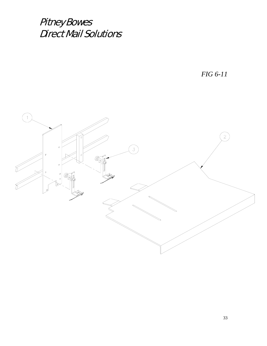*FIG 6-11*

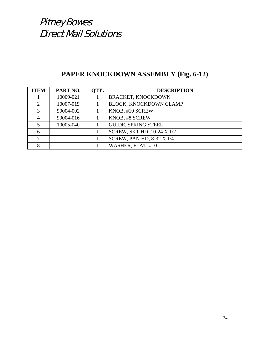#### **PAPER KNOCKDOWN ASSEMBLY (Fig. 6-12)**

| <b>ITEM</b>   | PART NO.  | QTY. | <b>DESCRIPTION</b>            |
|---------------|-----------|------|-------------------------------|
|               | 10009-021 |      | <b>BRACKET, KNOCKDOWN</b>     |
|               | 10007-019 |      | <b>BLOCK, KNOCKDOWN CLAMP</b> |
| $\mathcal{R}$ | 99004-002 |      | KNOB, #10 SCREW               |
|               | 99004-016 |      | <b>KNOB, #8 SCREW</b>         |
| 5             | 10005-040 |      | <b>GUIDE, SPRING STEEL</b>    |
| 6             |           |      | SCREW, SKT HD, 10-24 X 1/2    |
|               |           |      | SCREW, PAN HD, 8-32 X 1/4     |
| 8             |           |      | WASHER, FLAT, #10             |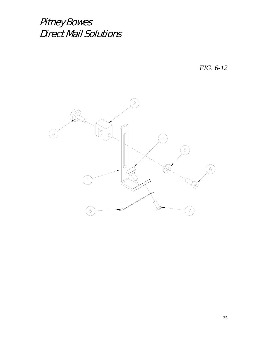*FIG. 6-12* 

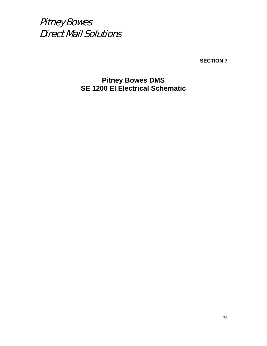**SECTION 7** 

**Pitney Bowes DMS SE 1200 EI Electrical Schematic**